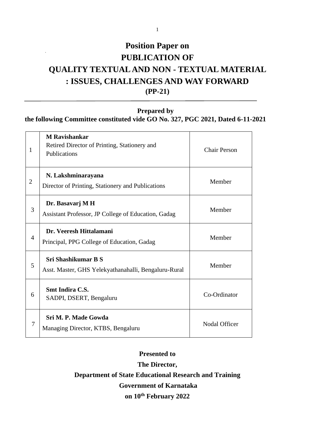# **Position Paper on PUBLICATION OF QUALITY TEXTUAL AND NON - TEXTUAL MATERIAL : ISSUES, CHALLENGES AND WAY FORWARD (PP-21)**

**Prepared by**

**the following Committee constituted vide GO No. 327, PGC 2021, Dated 6-11-2021**

| 1              | <b>M</b> Ravishankar<br>Retired Director of Printing, Stationery and<br>Publications | <b>Chair Person</b> |
|----------------|--------------------------------------------------------------------------------------|---------------------|
| $\overline{2}$ | N. Lakshminarayana<br>Director of Printing, Stationery and Publications              | Member              |
| 3              | Dr. Basavarj M H<br>Assistant Professor, JP College of Education, Gadag              | Member              |
| $\overline{4}$ | Dr. Veeresh Hittalamani<br>Principal, PPG College of Education, Gadag                | Member              |
| 5              | <b>Sri Shashikumar B S</b><br>Asst. Master, GHS Yelekyathanahalli, Bengaluru-Rural   | Member              |
| 6              | <b>Smt Indira C.S.</b><br>SADPI, DSERT, Bengaluru                                    | Co-Ordinator        |
| 7              | Sri M. P. Made Gowda<br>Managing Director, KTBS, Bengaluru                           | Nodal Officer       |

**Presented to The Director, Department of State Educational Research and Training Government of Karnataka on 10th February 2022**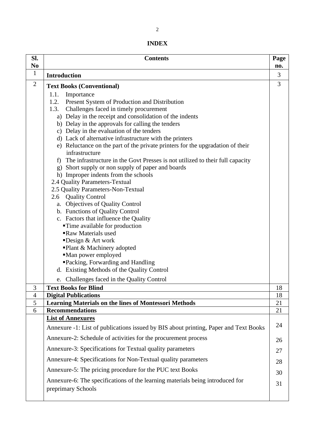| Sl.<br>No      | <b>Contents</b>                                                                                  | Page<br>no. |
|----------------|--------------------------------------------------------------------------------------------------|-------------|
| $\mathbf{1}$   | <b>Introduction</b>                                                                              | 3           |
| $\overline{2}$ |                                                                                                  | 3           |
|                | <b>Text Books (Conventional)</b><br>1.1.<br>Importance                                           |             |
|                | 1.2.<br>Present System of Production and Distribution                                            |             |
|                | 1.3.<br>Challenges faced in timely procurement                                                   |             |
|                | a) Delay in the receipt and consolidation of the indents                                         |             |
|                | b) Delay in the approvals for calling the tenders                                                |             |
|                | c) Delay in the evaluation of the tenders                                                        |             |
|                | d) Lack of alternative infrastructure with the printers                                          |             |
|                | e) Reluctance on the part of the private printers for the upgradation of their<br>infrastructure |             |
|                | The infrastructure in the Govt Presses is not utilized to their full capacity<br>f)              |             |
|                | g) Short supply or non supply of paper and boards                                                |             |
|                | h) Improper indents from the schools                                                             |             |
|                | 2.4 Quality Parameters-Textual                                                                   |             |
|                | 2.5 Quality Parameters-Non-Textual                                                               |             |
|                | 2.6 Quality Control<br>a. Objectives of Quality Control                                          |             |
|                | b. Functions of Quality Control                                                                  |             |
|                | c. Factors that influence the Quality                                                            |             |
|                | <b>Time available for production</b>                                                             |             |
|                | Raw Materials used                                                                               |             |
|                | Design $&$ Art work                                                                              |             |
|                | ■Plant & Machinery adopted                                                                       |             |
|                | •Man power employed<br>■Packing, Forwarding and Handling                                         |             |
|                | d. Existing Methods of the Quality Control                                                       |             |
|                | Challenges faced in the Quality Control<br>e.                                                    |             |
| 3              | <b>Text Books for Blind</b>                                                                      | 18          |
| $\overline{4}$ | <b>Digital Publications</b>                                                                      | 18          |
| 5              | <b>Learning Materials on the lines of Montessori Methods</b>                                     | 21          |
| 6              | <b>Recommendations</b>                                                                           | 21          |
|                | <b>List of Annexures</b>                                                                         | 24          |
|                | Annexure -1: List of publications issued by BIS about printing, Paper and Text Books             |             |
|                | Annexure-2: Schedule of activities for the procurement process                                   | 26          |
|                | Annexure-3: Specifications for Textual quality parameters                                        | 27          |
|                | Annexure-4: Specifications for Non-Textual quality parameters                                    | 28          |
|                | Annexure-5: The pricing procedure for the PUC text Books                                         | 30          |
|                | Annexure-6: The specifications of the learning materials being introduced for                    | 31          |
|                | preprimary Schools                                                                               |             |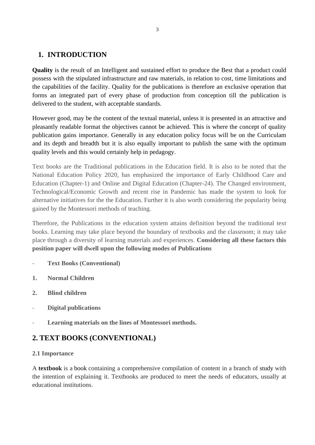# **1. INTRODUCTION**

**Quality** is the result of an Intelligent and sustained effort to produce the Best that a product could possess with the stipulated infrastructure and raw materials, in relation to cost, time limitations and the capabilities of the facility. Quality for the publications is therefore an exclusive operation that forms an integrated part of every phase of production from conception till the publication is delivered to the student, with acceptable standards.

However good, may be the content of the textual material, unless it is presented in an attractive and pleasantly readable format the objectives cannot be achieved. This is where the concept of quality publication gains importance. Generally in any education policy focus will be on the Curriculam and its depth and breadth but it is also equally important to publish the same with the optimum quality levels and this would certainly help in pedagogy.

Text books are the Traditional publications in the Education field. It is also to be noted that the National Education Policy 2020, has emphasized the importance of Early Childhood Care and Education (Chapter-1) and Online and Digital Education (Chapter-24). The Changed environment, Technological/Economic Growth and recent rise in Pandemic has made the system to look for alternative initiatives for the the Education. Further it is also worth considering the popularity being gained by the Montessori methods of teaching.

Therefore, the Publications in the education system attains definition beyond the traditional text books. Learning may take place beyond the boundary of textbooks and the classroom; it may take place through a diversity of learning materials and experiences. **Considering all these factors this position paper will dwell upon the following modes of Publications**

- **Text Books (Conventional)**
- **1. Normal Children**
- **2. Blind children**
- **Digital publications**
- **Learning materials on the lines of Montessori methods.**

# **2. TEXT BOOKS (CONVENTIONAL)**

#### **2.1 Importance**

A **textbook** is a book containing a comprehensive compilation of content in a branch of study with the intention of explaining it. Textbooks are produced to meet the needs of educators, usually at educational institutions.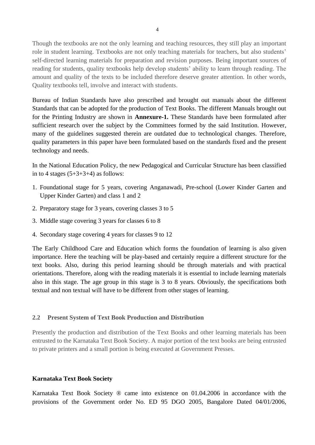Though the textbooks are not the only learning and teaching resources, they still play an important role in student learning. Textbooks are not only teaching materials for teachers, but also students' self-directed learning materials for preparation and revision purposes. Being important sources of reading for students, quality textbooks help develop students' ability to learn through reading. The amount and quality of the texts to be included therefore deserve greater attention. In other words, Quality textbooks tell, involve and interact with students.

Bureau of Indian Standards have also prescribed and brought out manuals about the different Standards that can be adopted for the production of Text Books. The different Manuals brought out for the Printing Industry are shown in **Annexure-1.** These Standards have been formulated after sufficient research over the subject by the Committees formed by the said Institution. However, many of the guidelines suggested therein are outdated due to technological changes. Therefore, quality parameters in this paper have been formulated based on the standards fixed and the present technology and needs.

In the National Education Policy, the new Pedagogical and Curricular Structure has been classified in to 4 stages  $(5+3+3+4)$  as follows:

- 1. Foundational stage for 5 years, covering Anganawadi, Pre-school (Lower Kinder Garten and Upper Kinder Garten) and class 1 and 2
- 2. Preparatory stage for 3 years, covering classes 3 to 5
- 3. Middle stage covering 3 years for classes 6 to 8
- 4. Secondary stage covering 4 years for classes 9 to 12

The Early Childhood Care and Education which forms the foundation of learning is also given importance. Here the teaching will be play-based and certainly require a different structure for the text books. Also, during this period learning should be through materials and with practical orientations. Therefore, along with the reading materials it is essential to include learning materials also in this stage. The age group in this stage is 3 to 8 years. Obviously, the specifications both textual and non textual will have to be different from other stages of learning.

#### **2.2 Present System of Text Book Production and Distribution**

Presently the production and distribution of the Text Books and other learning materials has been entrusted to the Karnataka Text Book Society. A major portion of the text books are being entrusted to private printers and a small portion is being executed at Government Presses.

#### **Karnataka Text Book Society**

Karnataka Text Book Society ® came into existence on 01.04.2006 in accordance with the provisions of the Government order No. ED 95 DGO 2005, Bangalore Dated 04/01/2006,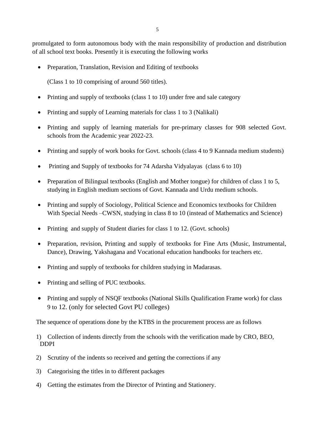promulgated to form autonomous body with the main responsibility of production and distribution of all school text books. Presently it is executing the following works

• Preparation, Translation, Revision and Editing of textbooks

(Class 1 to 10 comprising of around 560 titles).

- Printing and supply of textbooks (class 1 to 10) under free and sale category
- Printing and supply of Learning materials for class 1 to 3 (Nalikali)
- Printing and supply of learning materials for pre-primary classes for 908 selected Govt. schools from the Academic year 2022-23.
- Printing and supply of work books for Govt. schools (class 4 to 9 Kannada medium students)
- Printing and Supply of textbooks for 74 Adarsha Vidyalayas (class 6 to 10)
- Preparation of Bilingual textbooks (English and Mother tongue) for children of class 1 to 5, studying in English medium sections of Govt. Kannada and Urdu medium schools.
- Printing and supply of Sociology, Political Science and Economics textbooks for Children With Special Needs –CWSN, studying in class 8 to 10 (instead of Mathematics and Science)
- Printing and supply of Student diaries for class 1 to 12. (Govt. schools)
- Preparation, revision, Printing and supply of textbooks for Fine Arts (Music, Instrumental, Dance), Drawing, Yakshagana and Vocational education handbooks for teachers etc.
- Printing and supply of textbooks for children studying in Madarasas.
- Printing and selling of PUC textbooks.
- Printing and supply of NSQF textbooks (National Skills Qualification Frame work) for class 9 to 12. (only for selected Govt PU colleges)

The sequence of operations done by the KTBS in the procurement process are as follows

- 1) Collection of indents directly from the schools with the verification made by CRO, BEO, DDPI
- 2) Scrutiny of the indents so received and getting the corrections if any
- 3) Categorising the titles in to different packages
- 4) Getting the estimates from the Director of Printing and Stationery.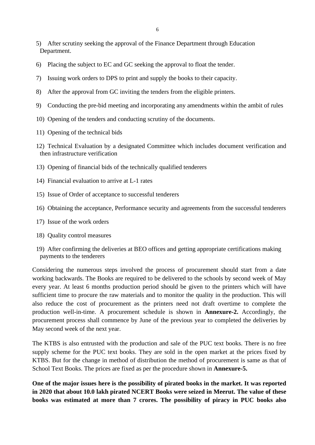- 5) After scrutiny seeking the approval of the Finance Department through Education Department.
- 6) Placing the subject to EC and GC seeking the approval to float the tender.
- 7) Issuing work orders to DPS to print and supply the books to their capacity.
- 8) After the approval from GC inviting the tenders from the eligible printers.
- 9) Conducting the pre-bid meeting and incorporating any amendments within the ambit of rules
- 10) Opening of the tenders and conducting scrutiny of the documents.
- 11) Opening of the technical bids
- 12) Technical Evaluation by a designated Committee which includes document verification and then infrastructure verification
- 13) Opening of financial bids of the technically qualified tenderers
- 14) Financial evaluation to arrive at L-1 rates
- 15) Issue of Order of acceptance to successful tenderers
- 16) Obtaining the acceptance, Performance security and agreements from the successful tenderers
- 17) Issue of the work orders
- 18) Quality control measures
- 19) After confirming the deliveries at BEO offices and getting appropriate certifications making payments to the tenderers

Considering the numerous steps involved the process of procurement should start from a date working backwards. The Books are required to be delivered to the schools by second week of May every year. At least 6 months production period should be given to the printers which will have sufficient time to procure the raw materials and to monitor the quality in the production. This will also reduce the cost of procurement as the printers need not draft overtime to complete the production well-in-time. A procurement schedule is shown in **Annexure-2.** Accordingly, the procurement process shall commence by June of the previous year to completed the deliveries by May second week of the next year.

The KTBS is also entrusted with the production and sale of the PUC text books. There is no free supply scheme for the PUC text books. They are sold in the open market at the prices fixed by KTBS. But for the change in method of distribution the method of procurement is same as that of School Text Books. The prices are fixed as per the procedure shown in **Annexure-5.**

**One of the major issues here is the possibility of pirated books in the market. It was reported in 2020 that about 10.0 lakh pirated NCERT Books were seized in Meerut. The value of these books was estimated at more than 7 crores. The possibility of piracy in PUC books also**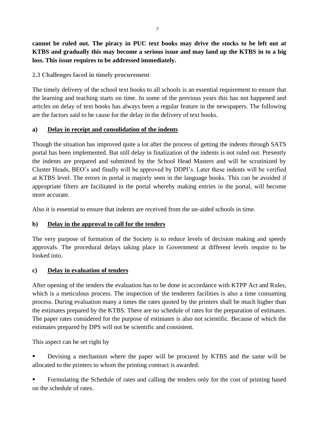**cannot be ruled out. The piracy in PUC text books may drive the stocks to be left out at KTBS and gradually this may become a serious issue and may land up the KTBS in to a big loss. This issue requires to be addressed immediately.** 

## **2.3 Challenges faced in timely procurement**

The timely delivery of the school text books to all schools is an essential requirement to ensure that the learning and teaching starts on time. In some of the previous years this has not happened and articles on delay of text books has always been a regular feature in the newspapers. The following are the factors said to be cause for the delay in the delivery of text books.

## **a) Delay in receipt and consolidation of the indents**

Though the situation has improved quite a lot after the process of getting the indents through SATS portal has been implemented. But still delay in finalization of the indents is not ruled out. Presently the indents are prepared and submitted by the School Head Masters and will be scrutinized by Cluster Heads, BEO's and finally will be approved by DDPI's. Later these indents will be verified at KTBS level. The errors in portal is majorly seen in the language books. This can be avoided if appropriate filters are facilitated in the portal whereby making entries in the portal, will become more accurate.

Also it is essential to ensure that indents are received from the un-aided schools in time.

# **b) Delay in the approval to call for the tenders**

The very purpose of formation of the Society is to reduce levels of decision making and speedy approvals. The procedural delays taking place in Government at different levels require to be looked into.

# **c) Delay in evaluation of tenders**

After opening of the tenders the evaluation has to be done in accordance with KTPP Act and Rules, which is a meticulous process. The inspection of the tenderers facilities is also a time consuming process. During evaluation many a times the rates quoted by the printers shall be much higher than the estimates prepared by the KTBS. There are no schedule of rates for the preparation of estimates. The paper rates considered for the purpose of estimates is also not scientific. Because of which the estimates prepared by DPS will not be scientific and consistent.

This aspect can be set right by

- Devising a mechanism where the paper will be procured by KTBS and the same will be allocated to the printers to whom the printing contract is awarded.
- Formulating the Schedule of rates and calling the tenders only for the cost of printing based on the schedule of rates.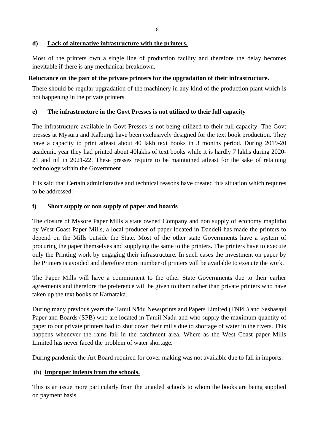# **d) Lack of alternative infrastructure with the printers.**

Most of the printers own a single line of production facility and therefore the delay becomes inevitable if there is any mechanical breakdown.

# **Reluctance on the part of the private printers for the upgradation of their infrastructure.**

There should be regular upgradation of the machinery in any kind of the production plant which is not happening in the private printers.

## **e) The infrastructure in the Govt Presses is not utilized to their full capacity**

The infrastructure available in Govt Presses is not being utilized to their full capacity. The Govt presses at Mysuru and Kalburgi have been exclusively designed for the text book production. They have a capacity to print atleast about 40 lakh text books in 3 months period. During 2019-20 academic year they had printed about 40lakhs of text books while it is hardly 7 lakhs during 2020- 21 and nil in 2021-22. These presses require to be maintained atleast for the sake of retaining technology within the Government

It is said that Certain administrative and technical reasons have created this situation which requires to be addressed.

# **f) Short supply or non supply of paper and boards**

The closure of Mysore Paper Mills a state owned Company and non supply of economy maplitho by West Coast Paper Mills, a local producer of paper located in Dandeli has made the printers to depend on the Mills outside the State. Most of the other state Governments have a system of procuring the paper themselves and supplying the same to the printers. The printers have to execute only the Printing work by engaging their infrastructure. In such cases the investment on paper by the Printers is avoided and therefore more number of printers will be available to execute the work.

The Paper Mills will have a commitment to the other State Governments due to their earlier agreements and therefore the preference will be given to them rather than private printers who have taken up the text books of Karnataka.

During many previous years the Tamil Nādu Newsprints and Papers Limited (TNPL) and Seshasayi Paper and Boards (SPB) who are located in Tamil Nādu and who supply the maximum quantity of paper to our private printers had to shut down their mills due to shortage of water in the rivers. This happens whenever the rains fail in the catchment area. Where as the West Coast paper Mills Limited has never faced the problem of water shortage.

During pandemic the Art Board required for cover making was not available due to fall in imports.

# (h) **Improper indents from the schools.**

This is an issue more particularly from the unaided schools to whom the books are being supplied on payment basis.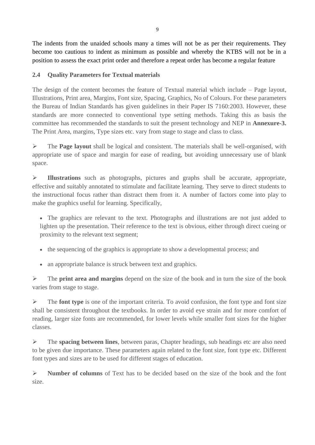The indents from the unaided schools many a times will not be as per their requirements. They become too cautious to indent as minimum as possible and whereby the KTBS will not be in a position to assess the exact print order and therefore a repeat order has become a regular feature

# **2.4 Quality Parameters for Textual materials**

The design of the content becomes the feature of Textual material which include – Page layout, Illustrations, Print area, Margins, Font size, Spacing, Graphics, No of Colours. For these parameters the Bureau of Indian Standards has given guidelines in their Paper IS 7160:2003. However, these standards are more connected to conventional type setting methods. Taking this as basis the committee has recommended the standards to suit the present technology and NEP in **Annexure-3.**  The Print Area, margins, Type sizes etc. vary from stage to stage and class to class.

➢ The **Page layout** shall be logical and consistent. The materials shall be well-organised, with appropriate use of space and margin for ease of reading, but avoiding unnecessary use of blank space.

➢ **Illustrations** such as photographs, pictures and graphs shall be accurate, appropriate, effective and suitably annotated to stimulate and facilitate learning. They serve to direct students to the instructional focus rather than distract them from it. A number of factors come into play to make the graphics useful for learning. Specifically,

• The graphics are relevant to the text. Photographs and illustrations are not just added to lighten up the presentation. Their reference to the text is obvious, either through direct cueing or proximity to the relevant text segment;

- the sequencing of the graphics is appropriate to show a developmental process; and
- an appropriate balance is struck between text and graphics.

➢ The **print area and margins** depend on the size of the book and in turn the size of the book varies from stage to stage.

➢ The **font type** is one of the important criteria. To avoid confusion, the font type and font size shall be consistent throughout the textbooks. In order to avoid eye strain and for more comfort of reading, larger size fonts are recommended, for lower levels while smaller font sizes for the higher classes.

➢ The **spacing between lines**, between paras, Chapter headings, sub headings etc are also need to be given due importance. These parameters again related to the font size, font type etc. Different font types and sizes are to be used for different stages of education.

➢ **Number of columns** of Text has to be decided based on the size of the book and the font size.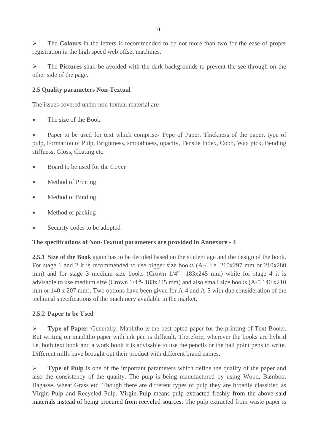➢ The **Colours** in the letters is recommended to be not more than two for the ease of proper registration in the high speed web offset machines.

➢ The **Pictures** shall be avoided with the dark backgrounds to prevent the see through on the other side of the page.

# **2.5 Quality parameters Non-Textual**

The issues covered under non-textual material are

• The size of the Book

• Paper to be used for text which comprise- Type of Paper, Thickness of the paper, type of pulp, Formation of Pulp, Brightness, smoothness, opacity, Tensile Index, Cobb, Wax pick, Bending stiffness, Gloss, Coating etc.

- Board to be used for the Cover
- Method of Printing
- Method of Binding
- Method of packing
- Security codes to be adopted

# **The specifications of Non-Textual parameters are provided in Annexure - 4**

**2.5.1 Size of the Book** again has to be decided based on the student age and the design of the book. For stage 1 and 2 it is recommended to use bigger size books (A-4 i.e. 210x297 mm or 210x280 mm) and for stage 3 medium size books (Crown  $1/4$ <sup>th</sup>-  $183x245$  mm) while for stage 4 it is advisable to use medium size (Crown  $1/4$ <sup>th</sup>- 183x245 mm) and also small size books (A-5 140 x210) mm or 140 x 207 mm). Two options have been given for A-4 and A-5 with due consideration of the technical specifications of the machinery available in the market.

# **2.5.2 Paper to be Used**

➢ **Type of Paper:** Generally, Maplitho is the best opted paper for the printing of Text Books. But writing on maplitho paper with ink pen is difficult. Therefore, wherever the books are hybrid i.e. both text book and a work book it is advisable to use the pencils or the ball point pens to write. Different mills have brought out their product with different brand names.

➢ **Type of Pulp** is one of the important parameters which define the quality of the paper and also the consistency of the quality. The pulp is being manufactured by using Wood, Bamboo, Bagasse, wheat Grass etc. Though there are different types of pulp they are broadly classified as Virgin Pulp and Recycled Pulp. Virgin Pulp means pulp extracted freshly from the above said materials instead of being procured from recycled sources. The pulp extracted from waste paper is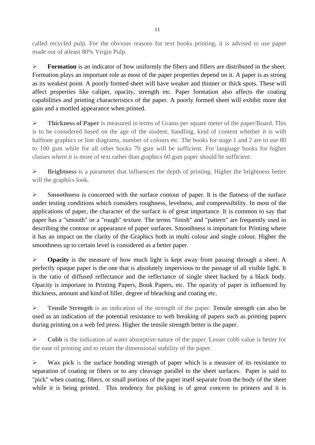called recycled pulp. For the obvious reasons for text books printing, it is advised to use paper made out of atleast 80% Virgin Pulp.

➢ **Formation** is an indicator of how uniformly the fibers and fillers are distributed in the sheet. Formation plays an important role as most of the paper properties depend on it. A paper is as strong as its weakest point. A poorly formed sheet will have weaker and thinner or thick spots. These will affect properties like caliper, opacity, strength etc. Paper formation also affects the coating capabilities and printing characteristics of the paper. A poorly formed sheet will exhibit more dot gain and a mottled appearance when printed.

➢ **Thickness of Paper** is measured in terms of Grams per square meter of the paper/Board. This is to be considered based on the age of the student, handling, kind of content whether it is with halftone graphics or line diagrams, number of colours etc. The books for stage 1 and 2 are to use 80 to 100 gsm while for all other books 70 gsm will be sufficient. For language books for higher classes where it is more of text rather than graphics 60 gsm paper should be sufficient.

➢ **Brightness** is a parameter that influences the depth of printing. Higher the brightness better will the graphics look.

➢ **Smoothness** is concerned with the surface contour of paper. It is the flatness of the surface under testing conditions which considers roughness, levelness, and compressibility. In most of the applications of paper, the character of the surface is of great importance. It is common to say that paper has a "smooth" or a "rough" texture. The terms "finish" and "pattern" are frequently used in describing the contour or appearance of paper surfaces. Smoothness is important for Printing where it has an impact on the clarity of the Graphics both in multi colour and single colour. Higher the smoothness up to certain level is considered as a better paper.

➢ **Opacity** is the measure of how much light is kept away from passing through a sheet. A perfectly opaque paper is the one that is absolutely impervious to the passage of all visible light. It is the ratio of diffused reflectance and the reflectance of single sheet backed by a black body. Opacity is important in Printing Papers, Book Papers, etc. The opacity of paper is influenced by thickness, amount and kind of filler, degree of bleaching and coating etc.

➢ **Tensile Strength** is an indication of the strength of the paper. Tensile strength can also be used as an indication of the potential resistance to web breaking of papers such as printing papers during printing on a web fed press. Higher the tensile strength better is the paper.

➢ **Cobb** is the indication of water absorptive nature of the paper. Lesser cobb value is better for the ease of printing and to retain the dimensional stability of the paper.

➢ **Wax pick** is the surface bonding strength of paper which is a measure of its resistance to separation of coating or fibers or to any cleavage parallel to the sheet surfaces. Paper is said to "pick" when coating, fibers, or small portions of the paper itself separate from the body of the sheet while it is being printed. This tendency for picking is of great concern to printers and it is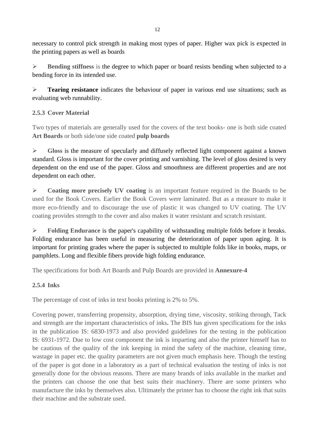necessary to control pick strength in making most types of paper. Higher wax pick is expected in the printing papers as well as boards

➢ **Bending stiffness** is the degree to which paper or board resists bending when subjected to a bending force in its intended use.

➢ **Tearing resistance** indicates the behaviour of paper in various end use situations; such as evaluating web runnability.

# **2.5.3 Cover Material**

Two types of materials are generally used for the covers of the text books- one is both side coated **Art Boards** or both side/one side coated **pulp boards**

➢ **Gloss** is the measure of specularly and diffusely reflected light component against a known standard. Gloss is important for the cover printing and varnishing. The level of gloss desired is very dependent on the end use of the paper. Gloss and smoothness are different properties and are not dependent on each other.

➢ **Coating more precisely UV coating** is an important feature required in the Boards to be used for the Book Covers. Earlier the Book Covers were laminated. But as a measure to make it more eco-friendly and to discourage the use of plastic it was changed to UV coating. The UV coating provides strength to the cover and also makes it water resistant and scratch resistant.

➢ **Folding Endurance** is the paper's capability of withstanding multiple folds before it breaks. Folding endurance has been useful in measuring the deterioration of paper upon aging. It is important for printing grades where the paper is subjected to multiple folds like in books, maps, or pamphlets. Long and flexible fibers provide high folding endurance.

The specifications for both Art Boards and Pulp Boards are provided in **Annexure-4**

# **2.5.4 Inks**

The percentage of cost of inks in text books printing is 2% to 5%.

Covering power, transferring propensity, absorption, drying time, viscosity, striking through, Tack and strength are the important characteristics of inks**.** The BIS has given specifications for the inks in the publication IS: 6830-1973 and also provided guidelines for the testing in the publication IS: 6931-1972. Due to low cost component the ink is imparting and also the printer himself has to be cautious of the quality of the ink keeping in mind the safety of the machine, cleaning time, wastage in paper etc. the quality parameters are not given much emphasis here. Though the testing of the paper is got done in a laboratory as a part of technical evaluation the testing of inks is not generally done for the obvious reasons. There are many brands of inks available in the market and the printers can choose the one that best suits their machinery. There are some printers who manufacture the inks by themselves also. Ultimately the printer has to choose the right ink that suits their machine and the substrate used.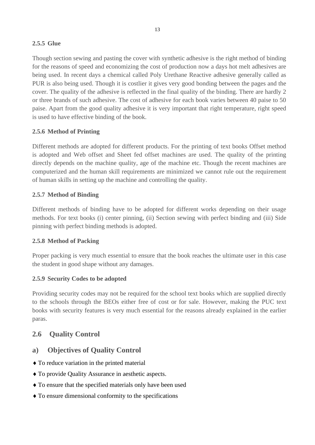## **2.5.5 Glue**

Though section sewing and pasting the cover with synthetic adhesive is the right method of binding for the reasons of speed and economizing the cost of production now a days hot melt adhesives are being used. In recent days a chemical called Poly Urethane Reactive adhesive generally called as PUR is also being used. Though it is costlier it gives very good bonding between the pages and the cover. The quality of the adhesive is reflected in the final quality of the binding. There are hardly 2 or three brands of such adhesive. The cost of adhesive for each book varies between 40 paise to 50 paise. Apart from the good quality adhesive it is very important that right temperature, right speed is used to have effective binding of the book.

## **2.5.6 Method of Printing**

Different methods are adopted for different products. For the printing of text books Offset method is adopted and Web offset and Sheet fed offset machines are used. The quality of the printing directly depends on the machine quality, age of the machine etc. Though the recent machines are computerized and the human skill requirements are minimized we cannot rule out the requirement of human skills in setting up the machine and controlling the quality.

## **2.5.7 Method of Binding**

Different methods of binding have to be adopted for different works depending on their usage methods. For text books (i) center pinning, (ii) Section sewing with perfect binding and (iii) Side pinning with perfect binding methods is adopted.

#### **2.5.8 Method of Packing**

Proper packing is very much essential to ensure that the book reaches the ultimate user in this case the student in good shape without any damages.

# **2.5.9 Security Codes to be adopted**

Providing security codes may not be required for the school text books which are supplied directly to the schools through the BEOs either free of cost or for sale. However, making the PUC text books with security features is very much essential for the reasons already explained in the earlier paras.

# **2.6 Quality Control**

# **a) Objectives of Quality Control**

- To reduce variation in the printed material
- To provide Quality Assurance in aesthetic aspects.
- To ensure that the specified materials only have been used
- To ensure dimensional conformity to the specifications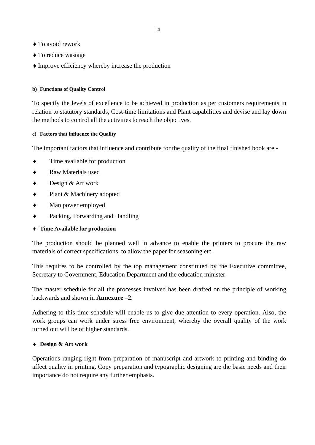- ◆ To avoid rework
- ◆ To reduce wastage
- Improve efficiency whereby increase the production

#### **b) Functions of Quality Control**

To specify the levels of excellence to be achieved in production as per customers requirements in relation to statutory standards, Cost-time limitations and Plant capabilities and devise and lay down the methods to control all the activities to reach the objectives.

#### **c) Factors that influence the Quality**

The important factors that influence and contribute for the quality of the final finished book are -

- Time available for production
- Raw Materials used
- ◆ Design & Art work
- ◆ Plant & Machinery adopted
- Man power employed
- Packing, Forwarding and Handling

#### **Time Available for production**

The production should be planned well in advance to enable the printers to procure the raw materials of correct specifications, to allow the paper for seasoning etc.

This requires to be controlled by the top management constituted by the Executive committee, Secretary to Government, Education Department and the education minister.

The master schedule for all the processes involved has been drafted on the principle of working backwards and shown in **[Annexure](file:///C:/search%3fhl=en&sa=X&oi=spell&resnum=0&ct=result&cd=1&q=Annexure&spell=1) –2.**

Adhering to this time schedule will enable us to give due attention to every operation. Also, the work groups can work under stress free environment, whereby the overall quality of the work turned out will be of higher standards.

#### **Design & Art work**

Operations ranging right from preparation of manuscript and artwork to printing and binding do affect quality in printing. Copy preparation and typographic designing are the basic needs and their importance do not require any further emphasis.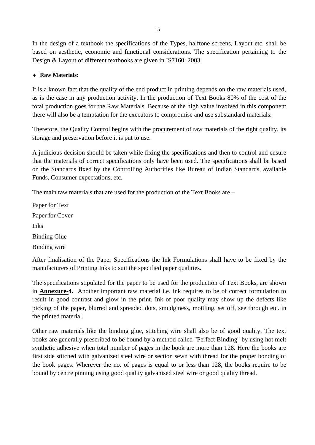In the design of a textbook the specifications of the Types, halftone screens, Layout etc. shall be based on aesthetic, economic and functional considerations. The specification pertaining to the Design & Layout of different textbooks are given in IS7160: 2003.

### **Raw Materials:**

It is a known fact that the quality of the end product in printing depends on the raw materials used, as is the case in any production activity. In the production of Text Books 80% of the cost of the total production goes for the Raw Materials. Because of the high value involved in this component there will also be a temptation for the executors to compromise and use substandard materials.

Therefore, the Quality Control begins with the procurement of raw materials of the right quality, its storage and preservation before it is put to use.

A judicious decision should be taken while fixing the specifications and then to control and ensure that the materials of correct specifications only have been used. The specifications shall be based on the Standards fixed by the Controlling Authorities like Bureau of Indian Standards, available Funds, Consumer expectations, etc.

The main raw materials that are used for the production of the Text Books are –

Paper for Text Paper for Cover Inks Binding Glue Binding wire

After finalisation of the Paper Specifications the Ink Formulations shall have to be fixed by the manufacturers of Printing Inks to suit the specified paper qualities.

The specifications stipulated for the paper to be used for the production of Text Books, are shown in **Annexure-4.** Another important raw material i.e. ink requires to be of correct formulation to result in good contrast and glow in the print. Ink of poor quality may show up the defects like picking of the paper, blurred and spreaded dots, smudginess, mottling, set off, see through etc. in the printed material.

Other raw materials like the binding glue, stitching wire shall also be of good quality. The text books are generally prescribed to be bound by a method called "Perfect Binding" by using hot melt synthetic adhesive when total number of pages in the book are more than 128. Here the books are first side stitched with galvanized steel wire or section sewn with thread for the proper bonding of the book pages. Wherever the no. of pages is equal to or less than 128, the books require to be bound by centre pinning using good quality galvanised steel wire or good quality thread.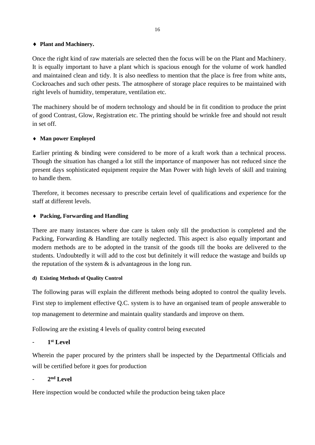#### **Plant and Machinery.**

Once the right kind of raw materials are selected then the focus will be on the Plant and Machinery. It is equally important to have a plant which is spacious enough for the volume of work handled and maintained clean and tidy. It is also needless to mention that the place is free from white ants, Cockroaches and such other pests. The atmosphere of storage place requires to be maintained with right levels of humidity, temperature, ventilation etc.

The machinery should be of modern technology and should be in fit condition to produce the print of good Contrast, Glow, Registration etc. The printing should be wrinkle free and should not result in set off.

## **Man power Employed**

Earlier printing & binding were considered to be more of a kraft work than a technical process. Though the situation has changed a lot still the importance of manpower has not reduced since the present days sophisticated equipment require the Man Power with high levels of skill and training to handle them.

Therefore, it becomes necessary to prescribe certain level of qualifications and experience for the staff at different levels.

#### **Packing, Forwarding and Handling**

There are many instances where due care is taken only till the production is completed and the Packing, Forwarding & Handling are totally neglected. This aspect is also equally important and modern methods are to be adopted in the transit of the goods till the books are delivered to the students. Undoubtedly it will add to the cost but definitely it will reduce the wastage and builds up the reputation of the system  $\&$  is advantageous in the long run.

#### **d) Existing Methods of Quality Control**

The following paras will explain the different methods being adopted to control the quality levels. First step to implement effective Q.C. system is to have an organised team of people answerable to top management to determine and maintain quality standards and improve on them.

Following are the existing 4 levels of quality control being executed

- **1 st Level**

Wherein the paper procured by the printers shall be inspected by the Departmental Officials and will be certified before it goes for production

- **2 nd Level**

Here inspection would be conducted while the production being taken place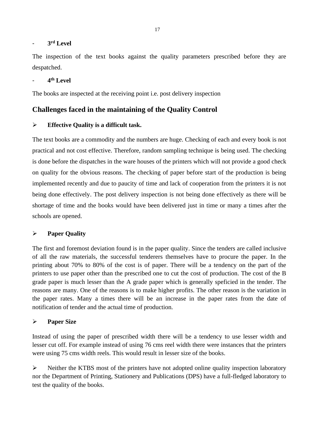#### - **3 rd Level**

The inspection of the text books against the quality parameters prescribed before they are despatched.

### - **4 th Level**

The books are inspected at the receiving point i.e. post delivery inspection

# **Challenges faced in the maintaining of the Quality Control**

#### ➢ **Effective Quality is a difficult task.**

The text books are a commodity and the numbers are huge. Checking of each and every book is not practical and not cost effective. Therefore, random sampling technique is being used. The checking is done before the dispatches in the ware houses of the printers which will not provide a good check on quality for the obvious reasons. The checking of paper before start of the production is being implemented recently and due to paucity of time and lack of cooperation from the printers it is not being done effectively. The post delivery inspection is not being done effectively as there will be shortage of time and the books would have been delivered just in time or many a times after the schools are opened.

#### ➢ **Paper Quality**

The first and foremost deviation found is in the paper quality. Since the tenders are called inclusive of all the raw materials, the successful tenderers themselves have to procure the paper. In the printing about 70% to 80% of the cost is of paper. There will be a tendency on the part of the printers to use paper other than the prescribed one to cut the cost of production. The cost of the B grade paper is much lesser than the A grade paper which is generally speficied in the tender. The reasons are many. One of the reasons is to make higher profits. The other reason is the variation in the paper rates. Many a times there will be an increase in the paper rates from the date of notification of tender and the actual time of production.

#### ➢ **Paper Size**

Instead of using the paper of prescribed width there will be a tendency to use lesser width and lesser cut off. For example instead of using 76 cms reel width there were instances that the printers were using 75 cms width reels. This would result in lesser size of the books.

➢ Neither the KTBS most of the printers have not adopted online quality inspection laboratory nor the Department of Printing, Stationery and Publications (DPS) have a full-fledged laboratory to test the quality of the books.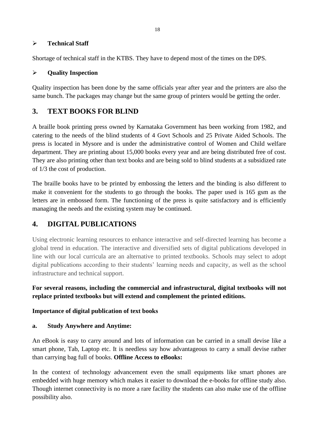#### ➢ **Technical Staff**

Shortage of technical staff in the KTBS. They have to depend most of the times on the DPS.

# ➢ **Quality Inspection**

Quality inspection has been done by the same officials year after year and the printers are also the same bunch. The packages may change but the same group of printers would be getting the order.

# **3. TEXT BOOKS FOR BLIND**

A braille book printing press owned by Karnataka Government has been working from 1982, and catering to the needs of the blind students of 4 Govt Schools and 25 Private Aided Schools. The press is located in Mysore and is under the administrative control of Women and Child welfare department. They are printing about 15,000 books every year and are being distributed free of cost. They are also printing other than text books and are being sold to blind students at a subsidized rate of 1/3 the cost of production.

The braille books have to be printed by embossing the letters and the binding is also different to make it convenient for the students to go through the books. The paper used is 165 gsm as the letters are in embossed form. The functioning of the press is quite satisfactory and is efficiently managing the needs and the existing system may be continued.

# **4. DIGITAL PUBLICATIONS**

Using electronic learning resources to enhance interactive and self-directed learning has become a global trend in education. The interactive and diversified sets of digital publications developed in line with our local curricula are an alternative to printed textbooks. Schools may select to adopt digital publications according to their students' learning needs and capacity, as well as the school infrastructure and technical support.

# **For several reasons, including the commercial and infrastructural, digital textbooks will not replace printed textbooks but will extend and complement the printed editions.**

#### **Importance of digital publication of text books**

#### **a. Study Anywhere and Anytime:**

An eBook is easy to carry around and lots of information can be carried in a small devise like a smart phone, Tab, Laptop etc. It is needless say how advantageous to carry a small devise rather than carrying bag full of books. **Offline Access to eBooks:**

In the context of technology advancement even the small equipments like smart phones are embedded with huge memory which makes it easier to download the e-books for offline study also. Though internet connectivity is no more a rare facility the students can also make use of the offline possibility also.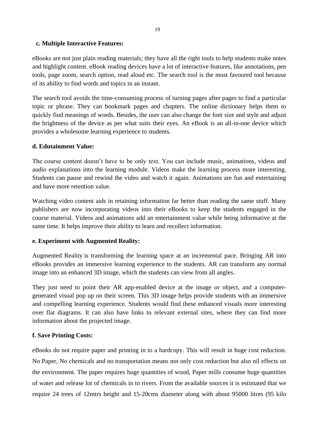#### **c. Multiple Interactive Features:**

eBooks are not just plain reading materials; they have all the right tools to help students make notes and highlight content. eBook reading devices have a lot of interactive features, like annotations, pen tools, page zoom, search option, read aloud etc. The search tool is the most favoured tool because of its ability to find words and topics in an instant.

The search tool avoids the time-consuming process of turning pages after pages to find a particular topic or phrase. They can bookmark pages and chapters. The online dictionary helps them to quickly find meanings of words. Besides, the user can also change the font size and style and adjust the brightness of the device as per what suits their eyes. An eBook is an all-in-one device which provides a wholesome learning experience to students.

#### **d. Edutainment Value:**

The course content doesn't have to be only text. You can include music, animations, videos and audio explanations into the learning module. Videos make the learning process more interesting. Students can pause and rewind the video and watch it again. Animations are fun and entertaining and have more retention value.

Watching video content aids in retaining information far better than reading the same stuff. Many publishers are now incorporating videos into their eBooks to keep the students engaged in the course material. Videos and animations add an entertainment value while being informative at the same time. It helps improve their ability to learn and recollect information.

#### **e. Experiment with Augmented Reality:**

Augmented Reality is transforming the learning space at an incremental pace. Bringing AR into eBooks provides an immersive learning experience to the students. AR can transform any normal image into an enhanced 3D image, which the students can view from all angles.

They just need to point their AR app-enabled device at the image or object, and a computergenerated visual pop up on their screen. This 3D image helps provide students with an immersive and compelling learning experience. Students would find these enhanced visuals more interesting over flat diagrams. It can also have links to relevant external sites, where they can find more information about the projected image.

#### **f. Save Printing Costs:**

eBooks do not require paper and printing in to a hardcopy. This will result in huge cost reduction. No Paper, No chemicals and no transportation means not only cost reduction but also nil effects on the environment. The paper requires huge quantities of wood, Paper mills consume huge quantities of water and release lot of chemicals in to rivers. From the available sources it is estimated that we require 24 trees of 12mtrs height and 15-20cms diameter along with about 95000 litres (95 kilo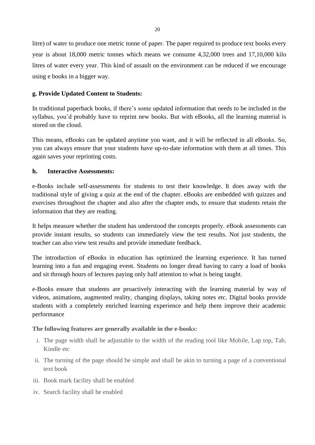litre) of water to produce one metric tonne of paper. The paper required to produce text books every year is about 18,000 metric tonnes which means we consume 4,32,000 trees and 17,10,000 kilo litres of water every year. This kind of assault on the environment can be reduced if we encourage using e books in a bigger way.

## **g. Provide Updated Content to Students:**

In traditional paperback books, if there's some updated information that needs to be included in the syllabus, you'd probably have to reprint new books. But with eBooks, all the learning material is stored on the cloud.

This means, eBooks can be updated anytime you want, and it will be reflected in all eBooks. So, you can always ensure that your students have up-to-date information with them at all times. This again saves your reprinting costs.

#### **h. Interactive Assessments:**

e-Books include self-assessments for students to test their knowledge. It does away with the traditional style of giving a quiz at the end of the chapter. eBooks are embedded with quizzes and exercises throughout the chapter and also after the chapter ends, to ensure that students retain the information that they are reading.

It helps measure whether the student has understood the concepts properly. eBook assessments can provide instant results, so students can immediately view the test results. Not just students, the teacher can also view test results and provide immediate feedback.

The introduction of eBooks in education has optimized the learning experience. It has turned learning into a fun and engaging event. Students no longer dread having to carry a load of books and sit through hours of lectures paying only half attention to what is being taught.

e-Books ensure that students are proactively interacting with the learning material by way of videos, animations, augmented reality, changing displays, taking notes etc. Digital books provide students with a completely enriched learning experience and help them improve their academic performance

#### **The following features are generally available in the e-books:**

- i. The page width shall be adjustable to the width of the reading tool like Mobile, Lap top, Tab, Kindle etc
- ii. The turning of the page should be simple and shall be akin to turning a page of a conventional text book
- iii. Book mark facility shall be enabled
- iv. Search facility shall be enabled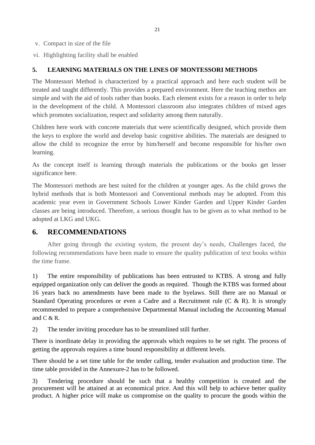- v. Compact in size of the file
- vi. Highlighting facility shall be enabled

### **5. LEARNING MATERIALS ON THE LINES OF MONTESSORI METHODS**

The Montessori Method is characterized by a practical approach and here each student will be treated and taught differently. This provides a prepared environment. Here the teaching methos are simple and with the aid of tools rather than books. Each element exists for a reason in order to help in the development of the child. A Montessori classroom also integrates children of mixed ages which promotes socialization, respect and solidarity among them naturally.

Children here work with concrete materials that were scientifically designed, which provide them the keys to explore the world and develop basic cognitive abilities. The materials are designed to allow the child to recognize the error by him/herself and become responsible for his/her own learning.

As the concept itself is learning through materials the publications or the books get lesser significance here.

The Montessori methods are best suited for the children at younger ages. As the child grows the hybrid methods that is both Montessori and Conventional methods may be adopted. From this academic year even in Government Schools Lower Kinder Garden and Upper Kinder Garden classes are being introduced. Therefore, a serious thought has to be given as to what method to be adopted at LKG and UKG.

# **6. RECOMMENDATIONS**

After going through the existing system, the present day's needs, Challenges faced, the following recommendations have been made to ensure the quality publication of text books within the time frame.

1) The entire responsibility of publications has been entrusted to KTBS. A strong and fully equipped organization only can deliver the goods as required. Though the KTBS was formed about 16 years back no amendments have been made to the byelaws. Still there are no Manual or Standard Operating procedures or even a Cadre and a Recruitment rule  $(C \& R)$ . It is strongly recommended to prepare a comprehensive Departmental Manual including the Accounting Manual and  $C & R$ .

2) The tender inviting procedure has to be streamlined still further.

There is inordinate delay in providing the approvals which requires to be set right. The process of getting the approvals requires a time bound responsibility at different levels.

There should be a set time table for the tender calling, tender evaluation and production time. The time table provided in the Annexure-2 has to be followed.

3) Tendering procedure should be such that a healthy competition is created and the procurement will be attained at an economical price. And this will help to achieve better quality product. A higher price will make us compromise on the quality to procure the goods within the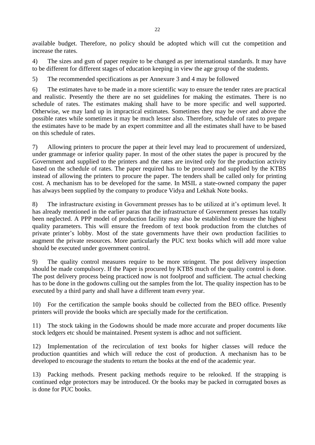available budget. Therefore, no policy should be adopted which will cut the competition and increase the rates.

4) The sizes and gsm of paper require to be changed as per international standards. It may have to be different for different stages of education keeping in view the age group of the students.

5) The recommended specifications as per Annexure 3 and 4 may be followed

6) The estimates have to be made in a more scientific way to ensure the tender rates are practical and realistic. Presently the there are no set guidelines for making the estimates. There is no schedule of rates. The estimates making shall have to be more specific and well supported. Otherwise, we may land up in impractical estimates. Sometimes they may be over and above the possible rates while sometimes it may be much lesser also. Therefore, schedule of rates to prepare the estimates have to be made by an expert committee and all the estimates shall have to be based on this schedule of rates.

7) Allowing printers to procure the paper at their level may lead to procurement of undersized, under grammage or inferior quality paper. In most of the other states the paper is procured by the Government and supplied to the printers and the rates are invited only for the production activity based on the schedule of rates. The paper required has to be procured and supplied by the KTBS instead of allowing the printers to procure the paper. The tenders shall be called only for printing cost. A mechanism has to be developed for the same. In MSIL a state-owned company the paper has always been supplied by the company to produce Vidya and Lekhak Note books.

8) The infrastructure existing in Government presses has to be utilized at it's optimum level. It has already mentioned in the earlier paras that the infrastructure of Government presses has totally been neglected. A PPP model of production facility may also be established to ensure the highest quality parameters. This will ensure the freedom of text book production from the clutches of private printer's lobby. Most of the state governments have their own production facilities to augment the private resources. More particularly the PUC text books which will add more value should be executed under government control.

9) The quality control measures require to be more stringent. The post delivery inspection should be made compulsory. If the Paper is procured by KTBS much of the quality control is done. The post delivery process being practiced now is not foolproof and sufficient. The actual checking has to be done in the godowns culling out the samples from the lot. The quality inspection has to be executed by a third party and shall have a different team every year.

10) For the certification the sample books should be collected from the BEO office. Presently printers will provide the books which are specially made for the certification.

11) The stock taking in the Godowns should be made more accurate and proper documents like stock ledgers etc should be maintained. Present system is adhoc and not sufficient.

12) Implementation of the recirculation of text books for higher classes will reduce the production quantities and which will reduce the cost of production. A mechanism has to be developed to encourage the students to return the books at the end of the academic year.

13) Packing methods. Present packing methods require to be relooked. If the strapping is continued edge protectors may be introduced. Or the books may be packed in corrugated boxes as is done for PUC books.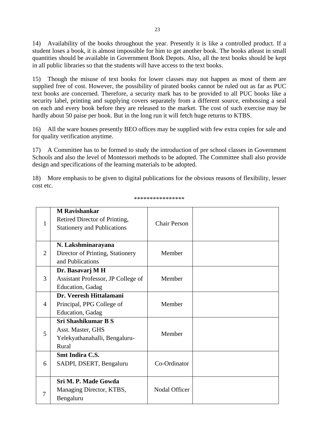14) Availability of the books throughout the year. Presently it is like a controlled product. If a student loses a book, it is almost impossible for him to get another book. The books atleast in small quantities should be available in Government Book Depots. Also, all the text books should be kept in all public libraries so that the students will have access to the text books.

15) Though the misuse of text books for lower classes may not happen as most of them are supplied free of cost. However, the possibility of pirated books cannot be ruled out as far as PUC text books are concerned. Therefore, a security mark has to be provided to all PUC books like a security label, printing and supplying covers separately from a different source, embossing a seal on each and every book before they are released to the market. The cost of such exercise may be hardly about 50 paise per book. But in the long run it will fetch huge returns to KTBS.

16) All the ware houses presently BEO offices may be supplied with few extra copies for sale and for quality verification anytime.

17) A Committee has to be formed to study the introduction of pre school classes in Government Schools and also the level of Montessori methods to be adopted. The Committee shall also provide design and specifications of the learning materials to be adopted.

18) More emphasis to be given to digital publications for the obvious reasons of flexibility, lesser cost etc.

| 1              | <b>M</b> Ravishankar<br>Retired Director of Printing,<br><b>Stationery and Publications</b> | <b>Chair Person</b> |  |
|----------------|---------------------------------------------------------------------------------------------|---------------------|--|
|                | N. Lakshminarayana                                                                          |                     |  |
| $\overline{2}$ | Director of Printing, Stationery                                                            | Member              |  |
|                | and Publications                                                                            |                     |  |
|                | Dr. Basavarj M H                                                                            |                     |  |
| 3              | Assistant Professor, JP College of                                                          | Member              |  |
|                | Education, Gadag                                                                            |                     |  |
|                | Dr. Veeresh Hittalamani                                                                     |                     |  |
| 4              | Principal, PPG College of                                                                   | Member              |  |
|                | <b>Education</b> , Gadag                                                                    |                     |  |
|                | <b>Sri Shashikumar B S</b>                                                                  |                     |  |
| 5              | Asst. Master, GHS                                                                           | Member              |  |
|                | Yelekyathanahalli, Bengaluru-                                                               |                     |  |
|                | Rural                                                                                       |                     |  |
|                | Smt Indira C.S.                                                                             |                     |  |
| 6              | SADPI, DSERT, Bengaluru                                                                     | Co-Ordinator        |  |
|                |                                                                                             |                     |  |
|                | Sri M. P. Made Gowda                                                                        |                     |  |
|                | Managing Director, KTBS,                                                                    | Nodal Officer       |  |
| $\overline{7}$ | Bengaluru                                                                                   |                     |  |

\*\*\*\*\*\*\*\*\*\*\*\*\*\*\*\*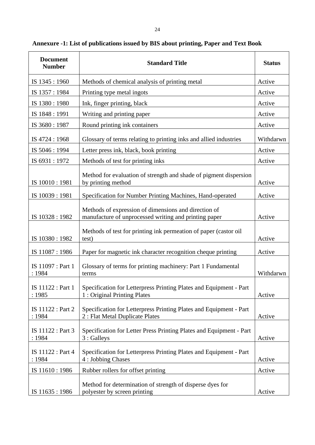| <b>Document</b><br><b>Number</b> | <b>Standard Title</b>                                                                                         | <b>Status</b> |
|----------------------------------|---------------------------------------------------------------------------------------------------------------|---------------|
| IS 1345 : 1960                   | Methods of chemical analysis of printing metal                                                                | Active        |
| IS 1357: 1984                    | Printing type metal ingots                                                                                    | Active        |
| IS 1380: 1980                    | Ink, finger printing, black                                                                                   | Active        |
| IS 1848 : 1991                   | Writing and printing paper                                                                                    | Active        |
| IS 3680: 1987                    | Round printing ink containers                                                                                 | Active        |
| IS 4724 : 1968                   | Glossary of terms relating to printing inks and allied industries                                             | Withdarwn     |
| IS 5046 : 1994                   | Letter press ink, black, book printing                                                                        | Active        |
| IS 6931:1972                     | Methods of test for printing inks                                                                             | Active        |
| IS 10010:1981                    | Method for evaluation of strength and shade of pigment dispersion<br>by printing method                       | Active        |
| IS 10039:1981                    | Specification for Number Printing Machines, Hand-operated                                                     | Active        |
| IS 10328:1982                    | Methods of expression of dimensions and direction of<br>manufacture of unprocessed writing and printing paper | Active        |
| IS 10380: 1982                   | Methods of test for printing ink permeation of paper (castor oil<br>test)                                     | Active        |
| IS 11087: 1986                   | Paper for magnetic ink character recognition cheque printing                                                  | Active        |
| IS 11097 : Part 1<br>: 1984      | Glossary of terms for printing machinery: Part 1 Fundamental<br>terms                                         | Withdarwn     |
| IS 11122 : Part 1<br>: 1985      | Specification for Letterpress Printing Plates and Equipment - Part<br>1: Original Printing Plates             | Active        |
| IS 11122 : Part 2<br>: 1984      | Specification for Letterpress Printing Plates and Equipment - Part<br>2 : Flat Metal Duplicate Plates         | Active        |
| IS 11122 : Part 3<br>: 1984      | Specification for Letter Press Printing Plates and Equipment - Part<br>3 : Galleys                            | Active        |
| IS 11122 : Part 4<br>: 1984      | Specification for Letterpress Printing Plates and Equipment - Part<br>4 : Jobbing Chases                      | Active        |
| IS 11610: 1986                   | Rubber rollers for offset printing                                                                            | Active        |
| IS 11635:1986                    | Method for determination of strength of disperse dyes for<br>polyester by screen printing                     | Active        |

# **Annexure -1: List of publications issued by BIS about printing, Paper and Text Book**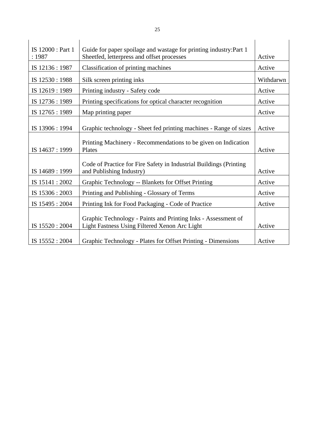| IS 12000 : Part 1<br>:1987 | Guide for paper spoilage and wastage for printing industry: Part 1<br>Sheetfed, letterpress and offset processes | Active    |
|----------------------------|------------------------------------------------------------------------------------------------------------------|-----------|
| IS 12136:1987              | Classification of printing machines                                                                              | Active    |
| IS 12530:1988              | Silk screen printing inks                                                                                        | Withdarwn |
| IS 12619:1989              | Printing industry - Safety code                                                                                  | Active    |
| IS 12736: 1989             | Printing specifications for optical character recognition                                                        | Active    |
| IS 12765 : 1989            | Map printing paper                                                                                               | Active    |
| IS 13906 : 1994            | Graphic technology - Sheet fed printing machines - Range of sizes                                                | Active    |
| IS 14637: 1999             | Printing Machinery - Recommendations to be given on Indication<br>Plates                                         | Active    |
| IS 14689: 1999             | Code of Practice for Fire Safety in Industrial Buildings (Printing)<br>and Publishing Industry)                  | Active    |
| IS 15141:2002              | Graphic Technology -- Blankets for Offset Printing                                                               | Active    |
| IS 15306 : 2003            | Printing and Publishing - Glossary of Terms                                                                      | Active    |
| IS 15495: 2004             | Printing Ink for Food Packaging - Code of Practice                                                               | Active    |
| IS 15520: 2004             | Graphic Technology - Paints and Printing Inks - Assessment of<br>Light Fastness Using Filtered Xenon Arc Light   | Active    |
| IS 15552: 2004             | Graphic Technology - Plates for Offset Printing - Dimensions                                                     | Active    |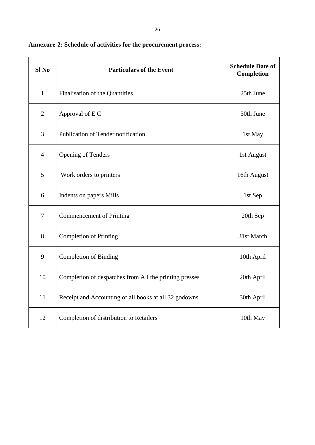| Sl <sub>No</sub>         | <b>Particulars of the Event</b>                        | <b>Schedule Date of</b><br>Completion |
|--------------------------|--------------------------------------------------------|---------------------------------------|
| $\mathbf{1}$             | Finalisation of the Quantities                         | 25th June                             |
| $\overline{2}$           | Approval of E C                                        | 30th June                             |
| 3                        | Publication of Tender notification                     | 1st May                               |
| $\overline{4}$           | <b>Opening of Tenders</b>                              | 1st August                            |
| 5                        | Work orders to printers                                | 16th August                           |
| 6                        | Indents on papers Mills                                | 1st Sep                               |
| $\overline{\mathcal{L}}$ | <b>Commencement of Printing</b>                        | 20th Sep                              |
| 8                        | <b>Completion of Printing</b>                          | 31st March                            |
| 9                        | <b>Completion of Binding</b>                           | 10th April                            |
| 10                       | Completion of despatches from All the printing presses | 20th April                            |
| 11                       | Receipt and Accounting of all books at all 32 godowns  | 30th April                            |
| 12                       | Completion of distribution to Retailers                | 10th May                              |

**Annexure-2: Schedule of activities for the procurement process:**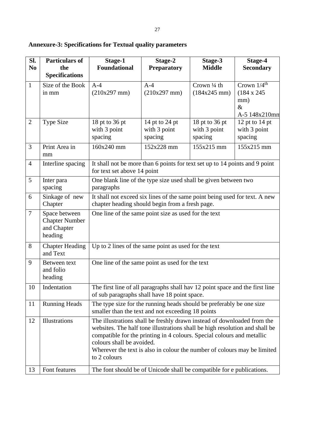| Sl.<br>N <sub>0</sub> | <b>Particulars of</b><br>the<br><b>Specifications</b>            | Stage-1<br><b>Foundational</b>                                                                                                                                                                                                                                                                                                                            | Stage-2<br><b>Preparatory</b>             | Stage-3<br><b>Middle</b>                  | Stage-4<br><b>Secondary</b>                                                     |  |  |  |
|-----------------------|------------------------------------------------------------------|-----------------------------------------------------------------------------------------------------------------------------------------------------------------------------------------------------------------------------------------------------------------------------------------------------------------------------------------------------------|-------------------------------------------|-------------------------------------------|---------------------------------------------------------------------------------|--|--|--|
| $\mathbf{1}$          | Size of the Book<br>in mm                                        | $A-4$<br>$(210x297$ mm)                                                                                                                                                                                                                                                                                                                                   | $A-4$<br>$(210x297)$ mm)                  | Crown 1/4 th<br>$(184x245$ mm)            | Crown $1/4$ <sup>th</sup><br>$(184 \times 245)$<br>mm)<br>$\&$<br>A-5 148x210mm |  |  |  |
| $\overline{2}$        | <b>Type Size</b>                                                 | 18 pt to 36 pt<br>with 3 point<br>spacing                                                                                                                                                                                                                                                                                                                 | 14 pt to 24 pt<br>with 3 point<br>spacing | 18 pt to 36 pt<br>with 3 point<br>spacing | 12 pt to $14$ pt<br>with 3 point<br>spacing                                     |  |  |  |
| $\overline{3}$        | Print Area in<br>mm                                              | 160x240 mm                                                                                                                                                                                                                                                                                                                                                | 152x228 mm                                | 155x215 mm                                | 155x215 mm                                                                      |  |  |  |
| $\overline{4}$        | Interline spacing                                                | It shall not be more than 6 points for text set up to 14 points and 9 point<br>for text set above 14 point                                                                                                                                                                                                                                                |                                           |                                           |                                                                                 |  |  |  |
| 5                     | Inter para<br>spacing                                            | One blank line of the type size used shall be given between two<br>paragraphs                                                                                                                                                                                                                                                                             |                                           |                                           |                                                                                 |  |  |  |
| 6                     | Sinkage of new<br>Chapter                                        | It shall not exceed six lines of the same point being used for text. A new<br>chapter heading should begin from a fresh page.                                                                                                                                                                                                                             |                                           |                                           |                                                                                 |  |  |  |
| $\overline{7}$        | Space between<br><b>Chapter Number</b><br>and Chapter<br>heading | One line of the same point size as used for the text                                                                                                                                                                                                                                                                                                      |                                           |                                           |                                                                                 |  |  |  |
| $8\phantom{1}$        | <b>Chapter Heading</b><br>and Text                               | Up to 2 lines of the same point as used for the text                                                                                                                                                                                                                                                                                                      |                                           |                                           |                                                                                 |  |  |  |
| 9                     | Between text<br>and folio<br>heading                             | One line of the same point as used for the text                                                                                                                                                                                                                                                                                                           |                                           |                                           |                                                                                 |  |  |  |
| 10                    | Indentation                                                      | The first line of all paragraphs shall hav 12 point space and the first line<br>of sub paragraphs shall have 18 point space.                                                                                                                                                                                                                              |                                           |                                           |                                                                                 |  |  |  |
| 11                    | <b>Running Heads</b>                                             | The type size for the running heads should be preferably be one size<br>smaller than the text and not exceeding 18 points                                                                                                                                                                                                                                 |                                           |                                           |                                                                                 |  |  |  |
| 12                    | Illustrations                                                    | The illustrations shall be freshly drawn instead of downloaded from the<br>websites. The half tone illustrations shall be high resolution and shall be<br>compatible for the printing in 4 colours. Special colours and metallic<br>colours shall be avoided.<br>Wherever the text is also in colour the number of colours may be limited<br>to 2 colours |                                           |                                           |                                                                                 |  |  |  |

**Annexure-3: Specifications for Textual quality parameters**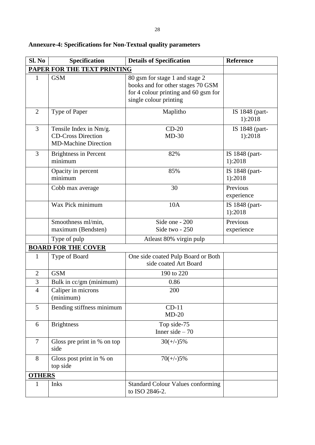| Sl. No         | Specification                                                                      | <b>Details of Specification</b>                                                                                                       | <b>Reference</b>          |
|----------------|------------------------------------------------------------------------------------|---------------------------------------------------------------------------------------------------------------------------------------|---------------------------|
|                | <b>PAPER FOR THE TEXT PRINTING</b>                                                 |                                                                                                                                       |                           |
| $\mathbf{1}$   | <b>GSM</b>                                                                         | 80 gsm for stage 1 and stage 2<br>books and for other stages 70 GSM<br>for 4 colour printing and 60 gsm for<br>single colour printing |                           |
| $\overline{2}$ | Type of Paper                                                                      | Maplitho                                                                                                                              | IS 1848 (part-<br>1):2018 |
| $\overline{3}$ | Tensile Index in Nm/g.<br><b>CD-Cross Direction</b><br><b>MD-Machine Direction</b> | $CD-20$<br>$MD-30$                                                                                                                    | IS 1848 (part-<br>1):2018 |
| $\overline{3}$ | <b>Brightness in Percent</b><br>minimum                                            | 82%                                                                                                                                   | IS 1848 (part-<br>1):2018 |
|                | Opacity in percent<br>minimum                                                      | 85%                                                                                                                                   | IS 1848 (part-<br>1):2018 |
|                | Cobb max average                                                                   | 30                                                                                                                                    | Previous<br>experience    |
|                | Wax Pick minimum                                                                   | 10A                                                                                                                                   | IS 1848 (part-<br>1):2018 |
|                | Smoothness ml/min,<br>maximum (Bendsten)                                           | Side one - 200<br>Side two - 250                                                                                                      | Previous<br>experience    |
|                | Type of pulp                                                                       | Atleast 80% virgin pulp                                                                                                               |                           |
|                | <b>BOARD FOR THE COVER</b>                                                         |                                                                                                                                       |                           |
| $\mathbf{1}$   | Type of Board                                                                      | One side coated Pulp Board or Both<br>side coated Art Board                                                                           |                           |
| $\overline{2}$ | <b>GSM</b>                                                                         | 190 to 220                                                                                                                            |                           |
| 3              | Bulk in cc/gm (minimum)                                                            | 0.86                                                                                                                                  |                           |
| $\overline{4}$ | Caliper in microns<br>(minimum)                                                    | 200                                                                                                                                   |                           |
| 5              | Bending stiffness minimum                                                          | $CD-11$<br>$MD-20$                                                                                                                    |                           |
| 6              | <b>Brightness</b>                                                                  | Top side-75<br>Inner side $-70$                                                                                                       |                           |
| $\overline{7}$ | Gloss pre print in % on top<br>side                                                | $30(+/-)5%$                                                                                                                           |                           |
| 8              | Gloss post print in % on<br>top side                                               | $70(+/-)5%$                                                                                                                           |                           |
| <b>OTHERS</b>  |                                                                                    |                                                                                                                                       |                           |
| 1              | <b>Inks</b>                                                                        | <b>Standard Colour Values conforming</b><br>to ISO 2846-2.                                                                            |                           |

# **Annexure-4: Specifications for Non-Textual quality parameters**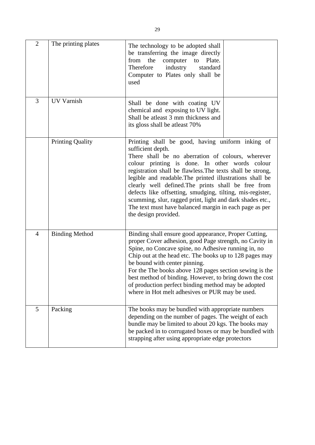| $\overline{2}$ | The printing plates     | The technology to be adopted shall<br>be transferring the image directly<br>from the computer to<br>Plate.<br>Therefore<br>industry<br>standard<br>Computer to Plates only shall be<br>used                                                                                                                                                                                                                                                                                                                                                                               |
|----------------|-------------------------|---------------------------------------------------------------------------------------------------------------------------------------------------------------------------------------------------------------------------------------------------------------------------------------------------------------------------------------------------------------------------------------------------------------------------------------------------------------------------------------------------------------------------------------------------------------------------|
| 3              | <b>UV Varnish</b>       | Shall be done with coating UV<br>chemical and exposing to UV light.<br>Shall be atleast 3 mm thickness and<br>its gloss shall be atleast 70%                                                                                                                                                                                                                                                                                                                                                                                                                              |
|                | <b>Printing Quality</b> | Printing shall be good, having uniform inking of<br>sufficient depth.<br>There shall be no aberration of colours, wherever<br>colour printing is done. In other words colour<br>registration shall be flawless. The texts shall be strong,<br>legible and readable. The printed illustrations shall be<br>clearly well defined. The prints shall be free from<br>defects like offsetting, smudging, tilting, mis-register,<br>scumming, slur, ragged print, light and dark shades etc.,<br>The text must have balanced margin in each page as per<br>the design provided. |
| 4              | <b>Binding Method</b>   | Binding shall ensure good appearance, Proper Cutting,<br>proper Cover adhesion, good Page strength, no Cavity in<br>Spine, no Concave spine, no Adhesive running in, no<br>Chip out at the head etc. The books up to 128 pages may<br>be bound with center pinning.<br>For the The books above 128 pages section sewing is the<br>best method of binding. However, to bring down the cost<br>of production perfect binding method may be adopted<br>where in Hot melt adhesives or PUR may be used.                                                                       |
| 5              | Packing                 | The books may be bundled with appropriate numbers<br>depending on the number of pages. The weight of each<br>bundle may be limited to about 20 kgs. The books may<br>be packed in to corrugated boxes or may be bundled with<br>strapping after using appropriate edge protectors                                                                                                                                                                                                                                                                                         |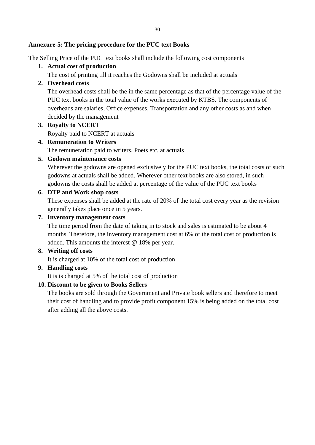### **Annexure-5: The pricing procedure for the PUC text Books**

The Selling Price of the PUC text books shall include the following cost components

### **1. Actual cost of production**

The cost of printing till it reaches the Godowns shall be included at actuals

## **2. Overhead costs**

The overhead costs shall be the in the same percentage as that of the percentage value of the PUC text books in the total value of the works executed by KTBS. The components of overheads are salaries, Office expenses, Transportation and any other costs as and when decided by the management

#### **3. Royalty to NCERT**

Royalty paid to NCERT at actuals

#### **4. Remuneration to Writers**

The remuneration paid to writers, Poets etc. at actuals

#### **5. Godown maintenance costs**

Wherever the godowns are opened exclusively for the PUC text books, the total costs of such godowns at actuals shall be added. Wherever other text books are also stored, in such godowns the costs shall be added at percentage of the value of the PUC text books

#### **6. DTP and Work shop costs**

These expenses shall be added at the rate of 20% of the total cost every year as the revision generally takes place once in 5 years.

#### **7. Inventory management costs**

The time period from the date of taking in to stock and sales is estimated to be about 4 months. Therefore, the inventory management cost at 6% of the total cost of production is added. This amounts the interest @ 18% per year.

#### **8. Writing off costs**

It is charged at 10% of the total cost of production

#### **9. Handling costs**

It is is charged at 5% of the total cost of production

#### **10. Discount to be given to Books Sellers**

The books are sold through the Government and Private book sellers and therefore to meet their cost of handling and to provide profit component 15% is being added on the total cost after adding all the above costs.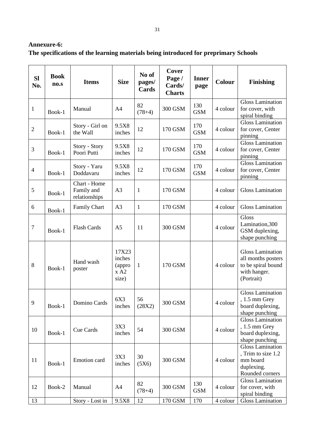# **Annexure-6: The specifications of the learning materials being introduced for preprimary Schools**

| <b>SI</b><br>No. | <b>Book</b><br>no.s | <b>Items</b>                                | <b>Size</b>                                | No of<br>pages/<br><b>Cards</b> | Cover<br>Page /<br>Cards/<br><b>Charts</b> | <b>Inner</b><br>page | <b>Colour</b> | <b>Finishing</b>                                                                                  |
|------------------|---------------------|---------------------------------------------|--------------------------------------------|---------------------------------|--------------------------------------------|----------------------|---------------|---------------------------------------------------------------------------------------------------|
| $\mathbf{1}$     | Book-1              | Manual                                      | A <sub>4</sub>                             | 82<br>$(78+4)$                  | 300 GSM                                    | 130<br><b>GSM</b>    | 4 colour      | <b>Gloss Lamination</b><br>for cover, with<br>spiral binding                                      |
| $\sqrt{2}$       | Book-1              | Story - Girl on<br>the Wall                 | 9.5X8<br>inches                            | 12                              | 170 GSM                                    | 170<br><b>GSM</b>    | 4 colour      | <b>Gloss Lamination</b><br>for cover, Center<br>pinning                                           |
| $\mathfrak{Z}$   | Book-1              | Story - Story<br>Poori Putti                | 9.5X8<br>inches                            | 12                              | 170 GSM                                    | 170<br><b>GSM</b>    | 4 colour      | <b>Gloss Lamination</b><br>for cover, Center<br>pinning                                           |
| $\overline{4}$   | Book-1              | Story - Yaru<br>Doddavaru                   | 9.5X8<br>inches                            | 12                              | 170 GSM                                    | 170<br><b>GSM</b>    | 4 colour      | <b>Gloss Lamination</b><br>for cover, Center<br>pinning                                           |
| 5                | Book-1              | Chart - Home<br>Family and<br>relationships | A <sub>3</sub>                             | $\mathbf{1}$                    | 170 GSM                                    |                      | 4 colour      | <b>Gloss Lamination</b>                                                                           |
| 6                | Book-1              | <b>Family Chart</b>                         | A <sub>3</sub>                             | $\mathbf{1}$                    | 170 GSM                                    |                      | 4 colour      | <b>Gloss Lamination</b>                                                                           |
| $\boldsymbol{7}$ | Book-1              | <b>Flash Cards</b>                          | A <sub>5</sub>                             | 11                              | 300 GSM                                    |                      | 4 colour      | Gloss<br>Lamination, 300<br>GSM duplexing,<br>shape punching                                      |
| $8\,$            | Book-1              | Hand wash<br>poster                         | 17X23<br>inches<br>(appro<br>x A2<br>size) | $\mathbf{1}$                    | 170 GSM                                    |                      | 4 colour      | <b>Gloss Lamination</b><br>all months posters<br>to be spiral bound<br>with hanger.<br>(Portrait) |
| 9                | Book-1              | Domino Cards                                | 6X3<br>inches                              | 56<br>(28X2)                    | 300 GSM                                    |                      | 4 colour      | <b>Gloss Lamination</b><br>, $1.5~\mathrm{mm}$ Grey<br>board duplexing,<br>shape punching         |
| 10               | Book-1              | Cue Cards                                   | 3X3<br>inches                              | 54                              | 300 GSM                                    |                      | 4 colour      | <b>Gloss Lamination</b><br>$, 1.5$ mm Grey<br>board duplexing,<br>shape punching                  |
| 11               | Book-1              | Emotion card                                | 3X3<br>inches                              | 30<br>(5X6)                     | 300 GSM                                    |                      | 4 colour      | <b>Gloss Lamination</b><br>, Trim to size 1.2<br>mm board<br>duplexing.<br>Rounded corners        |
| 12               | Book-2              | Manual                                      | A4                                         | 82<br>$(78+4)$                  | 300 GSM                                    | 130<br><b>GSM</b>    | 4 colour      | <b>Gloss Lamination</b><br>for cover, with<br>spiral binding                                      |
| 13               |                     | Story - Lost in                             | 9.5X8                                      | 12                              | 170 GSM                                    | 170                  | 4 colour      | Gloss Lamination                                                                                  |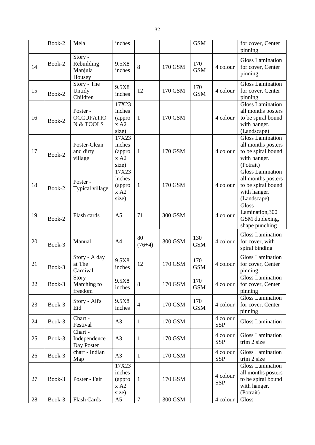|    | Book-2 | Mela                                       | inches                                     |                |         | <b>GSM</b>        |                        | for cover, Center<br>pinning                                                                       |
|----|--------|--------------------------------------------|--------------------------------------------|----------------|---------|-------------------|------------------------|----------------------------------------------------------------------------------------------------|
| 14 | Book-2 | Story -<br>Rebuilding<br>Manjula<br>Housey | 9.5X8<br>inches                            | 8              | 170 GSM | 170<br><b>GSM</b> | 4 colour               | <b>Gloss Lamination</b><br>for cover, Center<br>pinning                                            |
| 15 | Book-2 | Story - The<br>Untidy<br>Children          | 9.5X8<br>inches                            | 12             | 170 GSM | 170<br><b>GSM</b> | 4 colour               | Gloss Lamination<br>for cover, Center<br>pinning                                                   |
| 16 | Book-2 | Poster -<br><b>OCCUPATIO</b><br>N & TOOLS  | 17X23<br>inches<br>(appro<br>x A2<br>size) | $\mathbf{1}$   | 170 GSM |                   | 4 colour               | <b>Gloss Lamination</b><br>all months posters<br>to be spiral bound<br>with hanger.<br>(Landscape) |
| 17 | Book-2 | Poster-Clean<br>and dirty<br>village       | 17X23<br>inches<br>(appro<br>x A2<br>size) | $\mathbf{1}$   | 170 GSM |                   | 4 colour               | Gloss Lamination<br>all months posters<br>to be spiral bound<br>with hanger.<br>(Potrait)          |
| 18 | Book-2 | Poster -<br>Typical village                | 17X23<br>inches<br>(appro<br>x A2<br>size) | $\mathbf{1}$   | 170 GSM |                   | 4 colour               | <b>Gloss Lamination</b><br>all months posters<br>to be spiral bound<br>with hanger.<br>(Landscape) |
| 19 | Book-2 | Flash cards                                | A <sub>5</sub>                             | 71             | 300 GSM |                   | 4 colour               | Gloss<br>Lamination, 300<br>GSM duplexing,<br>shape punching                                       |
| 20 | Book-3 | Manual                                     | A <sub>4</sub>                             | 80<br>$(76+4)$ | 300 GSM | 130<br><b>GSM</b> | 4 colour               | <b>Gloss Lamination</b><br>for cover, with<br>spiral binding                                       |
| 21 | Book-3 | Story - A day<br>at The<br>Carnival        | 9.5X8<br>inches                            | 12             | 170 GSM | 170<br><b>GSM</b> | 4 colour               | <b>Gloss Lamination</b><br>for cover, Center<br>pinning                                            |
| 22 | Book-3 | Story -<br>Marching to<br>freedom          | 9.5X8<br>inches                            | 8              | 170 GSM | 170<br><b>GSM</b> | 4 colour               | Gloss Lamination<br>for cover, Center<br>pinning                                                   |
| 23 | Book-3 | Story - Ali's<br>Eid                       | 9.5X8<br>inches                            | $\overline{4}$ | 170 GSM | 170<br><b>GSM</b> | 4 colour               | <b>Gloss Lamination</b><br>for cover, Center<br>pinning                                            |
| 24 | Book-3 | Chart -<br>Festival                        | A <sub>3</sub>                             | $\mathbf{1}$   | 170 GSM |                   | 4 colour<br><b>SSP</b> | <b>Gloss Lamination</b>                                                                            |
| 25 | Book-3 | Chart -<br>Independence<br>Day Poster      | A <sub>3</sub>                             | $\mathbf{1}$   | 170 GSM |                   | 4 colour<br><b>SSP</b> | <b>Gloss Lamination</b><br>trim 2 size                                                             |
| 26 | Book-3 | chart - Indian<br>Map                      | A3                                         | $\mathbf{1}$   | 170 GSM |                   | 4 colour<br><b>SSP</b> | <b>Gloss Lamination</b><br>trim 2 size                                                             |
| 27 | Book-3 | Poster - Fair                              | 17X23<br>inches<br>(appro<br>x A2<br>size) | $\mathbf{1}$   | 170 GSM |                   | 4 colour<br><b>SSP</b> | <b>Gloss Lamination</b><br>all months posters<br>to be spiral bound<br>with hanger.<br>(Potrait)   |
| 28 | Book-3 | Flash Cards                                | A <sub>5</sub>                             | $\overline{7}$ | 300 GSM |                   | 4 colour               | Gloss                                                                                              |

32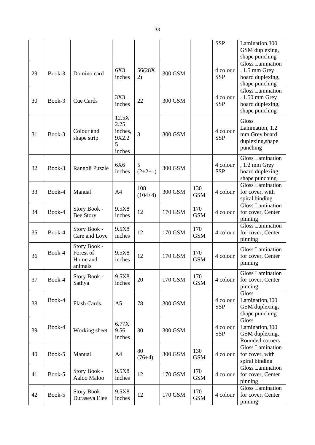|    |        |                                                  |                                                  |                  |         |                   | <b>SSP</b>             | Lamination, 300<br>GSM duplexing,<br>shape punching                              |
|----|--------|--------------------------------------------------|--------------------------------------------------|------------------|---------|-------------------|------------------------|----------------------------------------------------------------------------------|
| 29 | Book-3 | Domino card                                      | 6X3<br>inches                                    | 56(28X<br>2)     | 300 GSM |                   | 4 colour<br><b>SSP</b> | <b>Gloss Lamination</b><br>$, 1.5$ mm Grey<br>board duplexing,<br>shape punching |
| 30 | Book-3 | <b>Cue Cards</b>                                 | 3X3<br>inches                                    | 22               | 300 GSM |                   | 4 colour<br><b>SSP</b> | <b>Gloss Lamination</b><br>, 1.50 mm Grey<br>board duplexing,<br>shape punching  |
| 31 | Book-3 | Colour and<br>shape strip                        | 12.5X<br>2.25<br>inches,<br>9X2.2<br>5<br>inches | 3                | 300 GSM |                   | 4 colour<br><b>SSP</b> | Gloss<br>Lamination, 1.2<br>mm Grey board<br>duplexing, shape<br>punching        |
| 32 | Book-3 | Rangoli Puzzle                                   | 6X6<br>inches                                    | 5<br>$(2+2+1)$   | 300 GSM |                   | 4 colour<br><b>SSP</b> | <b>Gloss Lamination</b><br>$, 1.2$ mm Grey<br>board duplexing,<br>shape punching |
| 33 | Book-4 | Manual                                           | A <sub>4</sub>                                   | 108<br>$(104+4)$ | 300 GSM | 130<br><b>GSM</b> | 4 colour               | <b>Gloss Lamination</b><br>for cover, with<br>spiral binding                     |
| 34 | Book-4 | Story Book -<br><b>Bee Story</b>                 | 9.5X8<br>inches                                  | 12               | 170 GSM | 170<br><b>GSM</b> | 4 colour               | <b>Gloss Lamination</b><br>for cover, Center<br>pinning                          |
| 35 | Book-4 | Story Book -<br>Care and Love                    | 9.5X8<br>inches                                  | 12               | 170 GSM | 170<br><b>GSM</b> | 4 colour               | <b>Gloss Lamination</b><br>for cover, Center<br>pinning                          |
| 36 | Book-4 | Story Book -<br>Forest of<br>Home and<br>animals | 9.5X8<br>inches                                  | 12               | 170 GSM | 170<br><b>GSM</b> | 4 colour               | <b>Gloss Lamination</b><br>for cover, Center<br>pinning                          |
| 37 | Book-4 | Story Book -<br>Sathya                           | 9.5X8<br>inches                                  | 20               | 170 GSM | 170<br><b>GSM</b> | 4 colour               | <b>Gloss Lamination</b><br>for cover, Center<br>pinning                          |
| 38 | Book-4 | Flash Cards                                      | A <sub>5</sub>                                   | 78               | 300 GSM |                   | 4 colour<br><b>SSP</b> | Gloss<br>Lamination, 300<br>GSM duplexing,<br>shape punching                     |
| 39 | Book-4 | Working sheet                                    | 6.77X<br>9.56<br>inches                          | 30               | 300 GSM |                   | 4 colour<br><b>SSP</b> | Gloss<br>Lamination, 300<br>GSM duplexing,<br>Rounded corners                    |
| 40 | Book-5 | Manual                                           | A4                                               | 80<br>$(76+4)$   | 300 GSM | 130<br><b>GSM</b> | 4 colour               | <b>Gloss Lamination</b><br>for cover, with<br>spiral binding                     |
| 41 | Book-5 | Story Book -<br>Aaloo Maloo                      | 9.5X8<br>inches                                  | 12               | 170 GSM | 170<br><b>GSM</b> | 4 colour               | <b>Gloss Lamination</b><br>for cover, Center<br>pinning                          |
| 42 | Book-5 | Story Book -<br>Duraseya Elee                    | 9.5X8<br>inches                                  | 12               | 170 GSM | 170<br><b>GSM</b> | 4 colour               | <b>Gloss Lamination</b><br>for cover, Center<br>pinning                          |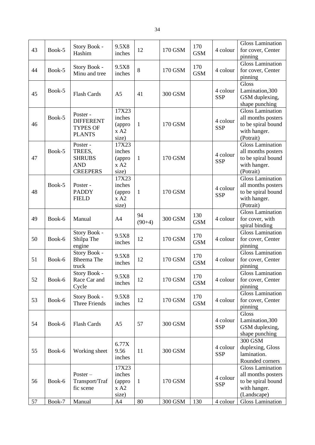| 43 | Book-5 | Story Book -<br>Hashim                                               | 9.5X8<br>inches                            | 12             | 170 GSM | 170<br><b>GSM</b> | 4 colour               | <b>Gloss Lamination</b><br>for cover, Center<br>pinning                                            |
|----|--------|----------------------------------------------------------------------|--------------------------------------------|----------------|---------|-------------------|------------------------|----------------------------------------------------------------------------------------------------|
| 44 | Book-5 | Story Book -<br>Minu and tree                                        | 9.5X8<br>inches                            | 8              | 170 GSM | 170<br><b>GSM</b> | 4 colour               | <b>Gloss Lamination</b><br>for cover, Center<br>pinning                                            |
| 45 | Book-5 | <b>Flash Cards</b>                                                   | A <sub>5</sub>                             | 41             | 300 GSM |                   | 4 colour<br><b>SSP</b> | Gloss<br>Lamination, 300<br>GSM duplexing,<br>shape punching                                       |
| 46 | Book-5 | Poster -<br><b>DIFFERENT</b><br><b>TYPES OF</b><br><b>PLANTS</b>     | 17X23<br>inches<br>(appro<br>x A2<br>size) | $\mathbf{1}$   | 170 GSM |                   | 4 colour<br><b>SSP</b> | <b>Gloss Lamination</b><br>all months posters<br>to be spiral bound<br>with hanger.<br>(Potrait)   |
| 47 | Book-5 | Poster -<br>TREES,<br><b>SHRUBS</b><br><b>AND</b><br><b>CREEPERS</b> | 17X23<br>inches<br>(appro<br>x A2<br>size) | $\mathbf{1}$   | 170 GSM |                   | 4 colour<br><b>SSP</b> | <b>Gloss Lamination</b><br>all months posters<br>to be spiral bound<br>with hanger.<br>(Potrait)   |
| 48 | Book-5 | Poster-<br><b>PADDY</b><br><b>FIELD</b>                              | 17X23<br>inches<br>(appro<br>x A2<br>size) | $\mathbf{1}$   | 170 GSM |                   | 4 colour<br><b>SSP</b> | <b>Gloss Lamination</b><br>all months posters<br>to be spiral bound<br>with hanger.<br>(Potrait)   |
| 49 | Book-6 | Manual                                                               | A <sub>4</sub>                             | 94<br>$(90+4)$ | 300 GSM | 130<br><b>GSM</b> | 4 colour               | <b>Gloss Lamination</b><br>for cover, with<br>spiral binding                                       |
| 50 | Book-6 | Story Book -<br>Shilpa The<br>engine                                 | 9.5X8<br>inches                            | 12             | 170 GSM | 170<br><b>GSM</b> | 4 colour               | <b>Gloss Lamination</b><br>for cover, Center<br>pinning                                            |
| 51 | Book-6 | Story Book -<br>Bheema The<br>truck                                  | 9.5X8<br>inches                            | 12             | 170 GSM | 170<br><b>GSM</b> | 4 colour               | <b>Gloss Lamination</b><br>for cover, Center<br>pinning                                            |
| 52 | Book-6 | Story Book -<br>Race Car and<br>Cycle                                | 9.5X8<br>inches                            | 12             | 170 GSM | 170<br><b>GSM</b> | 4 colour               | <b>Gloss Lamination</b><br>for cover, Center<br>pinning                                            |
| 53 | Book-6 | Story Book -<br><b>Three Friends</b>                                 | 9.5X8<br>inches                            | 12             | 170 GSM | 170<br><b>GSM</b> | 4 colour               | <b>Gloss Lamination</b><br>for cover, Center<br>pinning                                            |
| 54 | Book-6 | <b>Flash Cards</b>                                                   | A <sub>5</sub>                             | 57             | 300 GSM |                   | 4 colour<br><b>SSP</b> | Gloss<br>Lamination, 300<br>GSM duplexing,<br>shape punching                                       |
| 55 | Book-6 | Working sheet                                                        | 6.77X<br>9.56<br>inches                    | 11             | 300 GSM |                   | 4 colour<br><b>SSP</b> | 300 GSM<br>duplexing, Gloss<br>lamination.<br>Rounded corners                                      |
| 56 | Book-6 | $Poster -$<br>Transport/Traf<br>fic scene                            | 17X23<br>inches<br>(appro<br>x A2<br>size) | $\mathbf{1}$   | 170 GSM |                   | 4 colour<br><b>SSP</b> | <b>Gloss Lamination</b><br>all months posters<br>to be spiral bound<br>with hanger.<br>(Landscape) |
| 57 | Book-7 | Manual                                                               | A4                                         | 80             | 300 GSM | 130               | 4 colour               | <b>Gloss Lamination</b>                                                                            |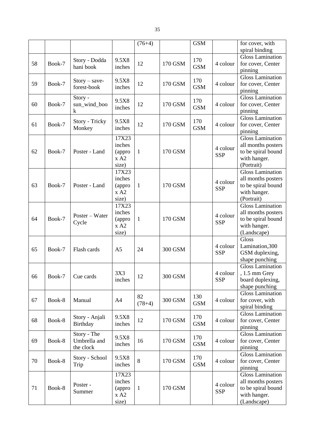|    |        |                 |                | $(76+4)$     |         | <b>GSM</b> |                        | for cover, with                       |
|----|--------|-----------------|----------------|--------------|---------|------------|------------------------|---------------------------------------|
|    |        |                 |                |              |         |            |                        | spiral binding                        |
|    |        | Story - Dodda   | 9.5X8          |              |         | 170        |                        | <b>Gloss Lamination</b>               |
| 58 | Book-7 | hani book       | inches         | 12           | 170 GSM | <b>GSM</b> | 4 colour               | for cover, Center                     |
|    |        |                 |                |              |         |            |                        | pinning                               |
|    |        | $Story - save-$ | 9.5X8          |              |         | 170        |                        | <b>Gloss Lamination</b>               |
| 59 | Book-7 | forest-book     | inches         | 12           | 170 GSM | <b>GSM</b> | 4 colour               | for cover, Center                     |
|    |        |                 |                |              |         |            |                        | pinning                               |
|    |        | Story -         | 9.5X8          |              |         | 170        |                        | <b>Gloss Lamination</b>               |
| 60 | Book-7 | sun_wind_boo    | inches         | 12           | 170 GSM | <b>GSM</b> | 4 colour               | for cover, Center                     |
|    |        | k               |                |              |         |            |                        | pinning                               |
|    |        | Story - Tricky  | 9.5X8          |              |         | 170        |                        | <b>Gloss Lamination</b>               |
| 61 | Book-7 | Monkey          | inches         | 12           | 170 GSM | <b>GSM</b> | 4 colour               | for cover, Center                     |
|    |        |                 |                |              |         |            |                        | pinning                               |
|    |        |                 | 17X23          |              |         |            |                        | <b>Gloss Lamination</b>               |
|    |        |                 | inches         |              |         |            | 4 colour               | all months posters                    |
| 62 | Book-7 | Poster - Land   | (appro         | $\mathbf{1}$ | 170 GSM |            | <b>SSP</b>             | to be spiral bound                    |
|    |        |                 | x A2           |              |         |            |                        | with hanger.                          |
|    |        |                 | size)<br>17X23 |              |         |            |                        | (Portrait)<br><b>Gloss Lamination</b> |
|    |        |                 | inches         |              |         |            |                        | all months posters                    |
| 63 | Book-7 | Poster - Land   |                | $\mathbf{1}$ | 170 GSM |            | 4 colour               | to be spiral bound                    |
|    |        |                 | (appro<br>x A2 |              |         |            | <b>SSP</b>             | with hanger.                          |
|    |        |                 | size)          |              |         |            |                        | (Portrait)                            |
|    |        |                 | 17X23          |              |         |            |                        | <b>Gloss Lamination</b>               |
|    |        |                 | inches         |              |         |            |                        | all months posters                    |
| 64 | Book-7 | Poster – Water  | (appro         | $\mathbf{1}$ | 170 GSM |            | 4 colour               | to be spiral bound                    |
|    |        | Cycle           | x A2           |              |         |            | <b>SSP</b>             | with hanger.                          |
|    |        |                 | size)          |              |         |            |                        | (Landscape)                           |
|    |        |                 |                |              |         |            |                        | Gloss                                 |
|    |        |                 |                |              |         |            | 4 colour               | Lamination, 300                       |
| 65 | Book-7 | Flash cards     | A <sub>5</sub> | 24           | 300 GSM |            | <b>SSP</b>             | GSM duplexing,                        |
|    |        |                 |                |              |         |            |                        | shape punching                        |
|    |        |                 |                |              |         |            |                        | <b>Gloss Lamination</b>               |
|    |        |                 | 3X3            |              |         |            | 4 colour               | , 1.5 mm Grey                         |
| 66 | Book-7 | Cue cards       | inches         | 12           | 300 GSM |            | <b>SSP</b>             | board duplexing,                      |
|    |        |                 |                |              |         |            |                        | shape punching                        |
|    |        |                 |                |              |         |            |                        | <b>Gloss Lamination</b>               |
| 67 | Book-8 | Manual          | A <sub>4</sub> | 82           | 300 GSM | 130        | 4 colour               | for cover, with                       |
|    |        |                 |                | $(78+4)$     |         | <b>GSM</b> |                        | spiral binding                        |
|    |        |                 |                |              |         |            |                        | <b>Gloss Lamination</b>               |
| 68 | Book-8 | Story - Anjali  | 9.5X8          | 12           | 170 GSM | 170        | 4 colour               | for cover, Center                     |
|    |        | Birthday        | inches         |              |         | <b>GSM</b> |                        | pinning                               |
|    |        | Story - The     |                |              |         |            |                        | <b>Gloss Lamination</b>               |
| 69 | Book-8 | Umbrella and    | 9.5X8          | 16           | 170 GSM | 170        | 4 colour               | for cover, Center                     |
|    |        | the clock       | inches         |              |         | <b>GSM</b> |                        | pinning                               |
|    |        |                 |                |              |         |            |                        | <b>Gloss Lamination</b>               |
| 70 | Book-8 | Story - School  | 9.5X8          | 8            | 170 GSM | 170        | 4 colour               | for cover, Center                     |
|    |        | Trip            | inches         |              |         | <b>GSM</b> |                        | pinning                               |
|    |        |                 | 17X23          |              |         |            |                        | <b>Gloss Lamination</b>               |
| 71 | Book-8 | Poster -        | inches         |              | 170 GSM |            | 4 colour<br><b>SSP</b> | all months posters                    |
|    |        |                 | (appro         | $\mathbf{1}$ |         |            |                        | to be spiral bound                    |
|    |        | Summer          | x A2           |              |         |            |                        | with hanger.                          |
|    |        |                 | size)          |              |         |            |                        | (Landscape)                           |